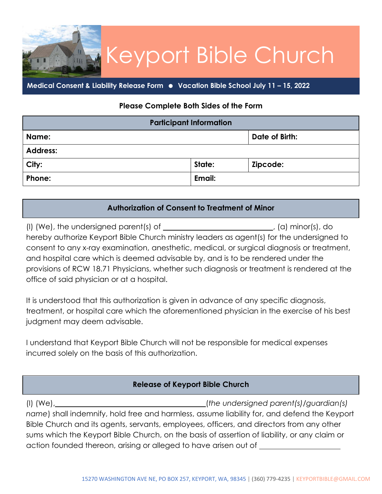## Keyport Bible Church

**Medical Consent & Liability Release Form Vacation Bible School July 11 – 15, 2022**

Lin

## **Please Complete Both Sides of the Form**

| <b>Participant Information</b> |        |                |  |
|--------------------------------|--------|----------------|--|
| Name:                          |        | Date of Birth: |  |
| <b>Address:</b>                |        |                |  |
| City:                          | State: | Zipcode:       |  |
| Phone:                         | Email: |                |  |

## **Authorization of Consent to Treatment of Minor**

(I) (We), the undersigned parent(s) of  $\qquad \qquad$  (a) minor(s), do hereby authorize Keyport Bible Church ministry leaders as agent(s) for the undersigned to consent to any x-ray examination, anesthetic, medical, or surgical diagnosis or treatment, and hospital care which is deemed advisable by, and is to be rendered under the provisions of RCW 18.71 Physicians, whether such diagnosis or treatment is rendered at the office of said physician or at a hospital.

It is understood that this authorization is given in advance of any specific diagnosis, treatment, or hospital care which the aforementioned physician in the exercise of his best judgment may deem advisable.

I understand that Keyport Bible Church will not be responsible for medical expenses incurred solely on the basis of this authorization.

## **Release of Keyport Bible Church**

(I) (We), (*the undersigned parent(s)/guardian(s) name*) shall indemnify, hold free and harmless, assume liability for, and defend the Keyport Bible Church and its agents, servants, employees, officers, and directors from any other sums which the Keyport Bible Church, on the basis of assertion of liability, or any claim or action founded thereon, arising or alleged to have arisen out of